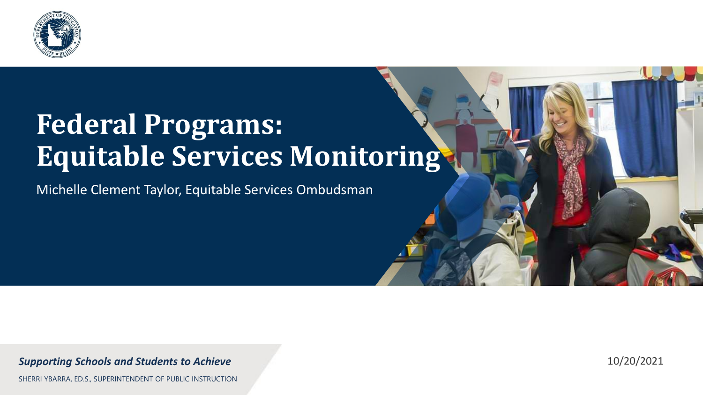

#### **Federal Programs: Equitable Services Monitoring**

Michelle Clement Taylor, Equitable Services Ombudsman

#### *Supporting Schools and Students to Achieve*

10/20/2021

SHERRI YBARRA, ED.S., SUPERINTENDENT OF PUBLIC INSTRUCTION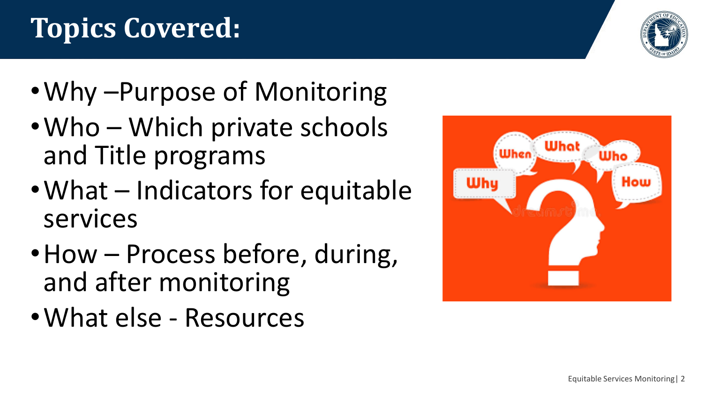## **Topics Covered:**

- •Why –Purpose of Monitoring
- Who Which private schools and Title programs
- What Indicators for equitable services
- How Process before, during, and after monitoring
- •What else Resources



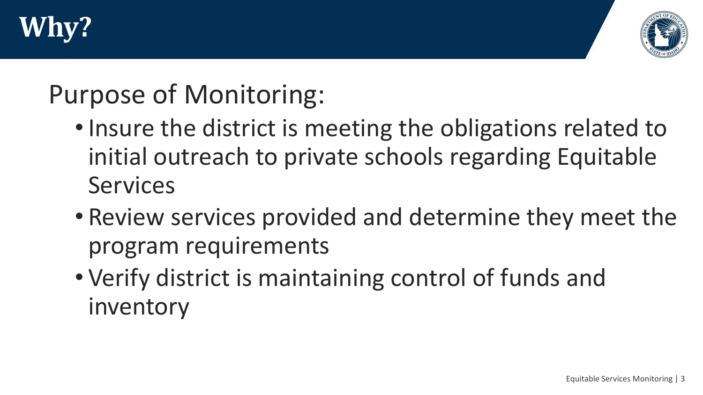



### Purpose of Monitoring:

- Insure the district is meeting the obligations related to initial outreach to private schools regarding Equitable Services
- Review services provided and determine they meet the program requirements
- Verify district is maintaining control of funds and inventory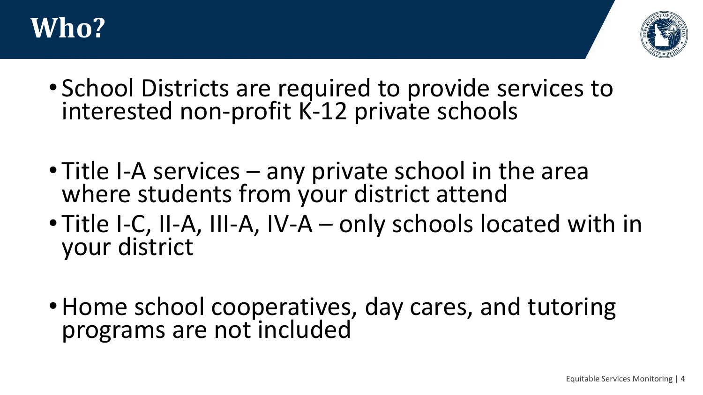



- School Districts are required to provide services to interested non-profit K-12 private schools
- Title I-A services any private school in the area where students from your district attend
- Title I-C, II-A, III-A, IV-A only schools located with in your district
- •Home school cooperatives, day cares, and tutoring programs are not included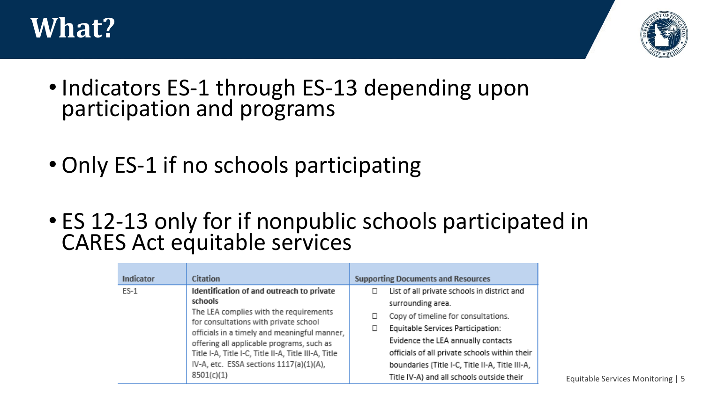



- Indicators ES-1 through ES-13 depending upon participation and programs
- Only ES-1 if no schools participating
- ES 12-13 only for if nonpublic schools participated in CARES Act equitable services

| Indicator | <b>Citation</b>                                                                                                                                                                                                                                                                                                                                       | <b>Supporting Documents and Resources</b>                                                                                                                                                                                                                                                                                           |
|-----------|-------------------------------------------------------------------------------------------------------------------------------------------------------------------------------------------------------------------------------------------------------------------------------------------------------------------------------------------------------|-------------------------------------------------------------------------------------------------------------------------------------------------------------------------------------------------------------------------------------------------------------------------------------------------------------------------------------|
| $ES-1$    | Identification of and outreach to private<br>schools<br>The LEA complies with the requirements<br>for consultations with private school<br>officials in a timely and meaningful manner,<br>offering all applicable programs, such as<br>Title I-A, Title I-C, Title II-A, Title III-A, Title<br>IV-A, etc. ESSA sections 1117(a)(1)(A),<br>8501(c)(1) | List of all private schools in district and<br>surrounding area.<br>Copy of timeline for consultations.<br>Equitable Services Participation:<br>Evidence the LEA annually contacts<br>officials of all private schools within their<br>boundaries (Title I-C, Title II-A, Title III-A,<br>Title IV-A) and all schools outside their |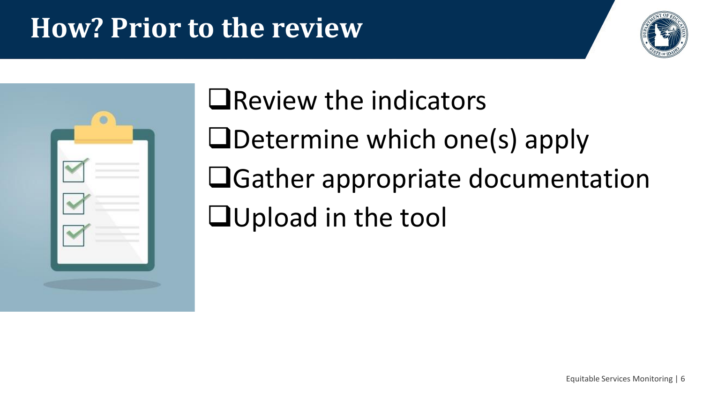### **How? Prior to the review**





❑Review the indicators ❑Determine which one(s) apply ❑Gather appropriate documentation ❑Upload in the tool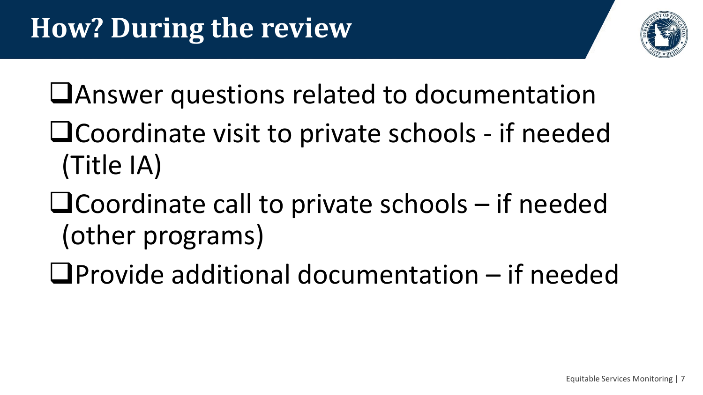

- ❑Answer questions related to documentation
- ❑Coordinate visit to private schools if needed (Title IA)
- ❑Coordinate call to private schools if needed (other programs)
- ❑Provide additional documentation if needed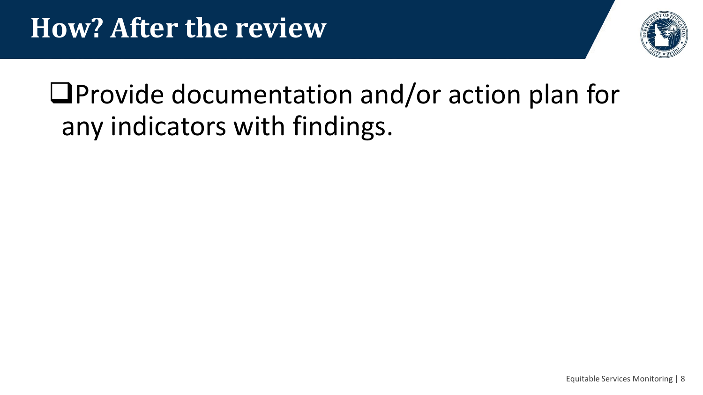

### ❑Provide documentation and/or action plan for any indicators with findings.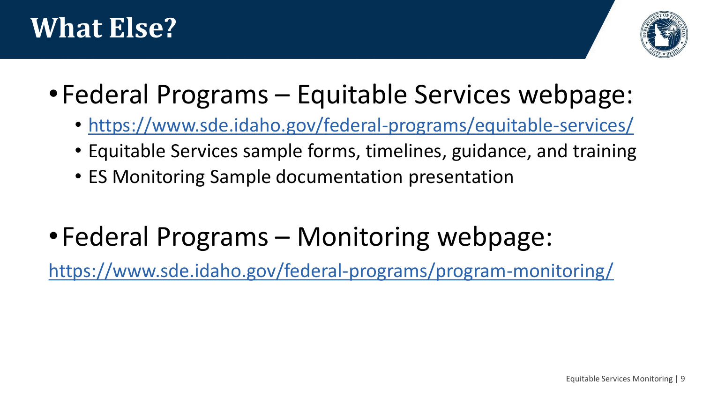



- •Federal Programs Equitable Services webpage:
	- <https://www.sde.idaho.gov/federal-programs/equitable-services/>
	- Equitable Services sample forms, timelines, guidance, and training
	- ES Monitoring Sample documentation presentation
- •Federal Programs Monitoring webpage:

<https://www.sde.idaho.gov/federal-programs/program-monitoring/>